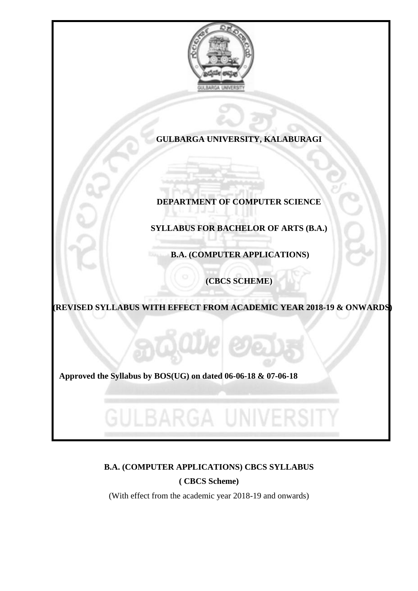

### **GULBARGA UNIVERSITY, KALABURAGI**

## **DEPARTMENT OF COMPUTER SCIENCE**

## **SYLLABUS FOR BACHELOR OF ARTS (B.A.)**

**B.A. (COMPUTER APPLICATIONS)**

**(CBCS SCHEME)**

**(REVISED SYLLABUS WITH EFFECT FROM ACADEMIC YEAR 2018-19 & ONWARDS)**

 **Approved the Syllabus by BOS(UG) on dated 06-06-18 & 07-06-18**

ULBARGA UNIV

## **B.A. (COMPUTER APPLICATIONS) CBCS SYLLABUS**

**( CBCS Scheme)**

(With effect from the academic year 2018-19 and onwards)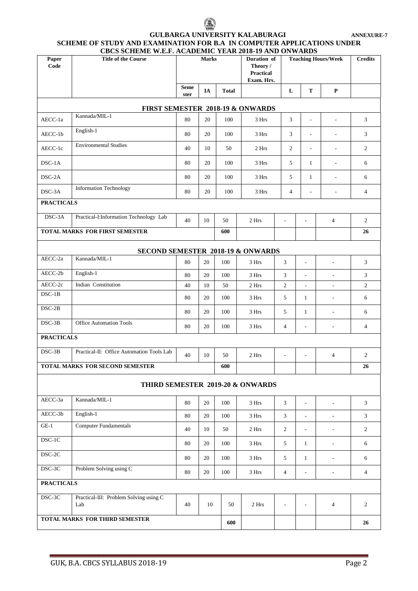### **GULBARGA UNIVERSITY KALABURAGI ANNEXURE-7 SCHEME OF STUDY AND EXAMINATION FOR B.A IN COMPUTER APPLICATIONS UNDER CBCS SCHEME W.E.F. ACADEMIC YEAR 2018-19 AND ONWARDS**

| Paper<br>Code                    | CBCS SCHEME W.E.F. ACADEMIC YEAR 2018-19 AND ONWARDS<br><b>Title of the Course</b> |                     | <b>Marks</b> |              | Duration of<br>Theory /<br><b>Practical</b><br>Exam. Hrs. |                          |                          | <b>Teaching Hours/Week</b> | <b>Credits</b> |
|----------------------------------|------------------------------------------------------------------------------------|---------------------|--------------|--------------|-----------------------------------------------------------|--------------------------|--------------------------|----------------------------|----------------|
|                                  |                                                                                    | <b>Seme</b><br>ster | IA           | <b>Total</b> |                                                           | L                        | T                        | $\mathbf P$                |                |
|                                  |                                                                                    |                     |              |              | FIRST SEMESTER 2018-19 & ONWARDS                          |                          |                          |                            |                |
| AECC-1a                          | Kannada/MIL-1                                                                      | 80                  | 20           | 100          | 3 Hrs                                                     | 3                        | $\overline{\phantom{a}}$ | $\overline{\phantom{a}}$   | 3              |
| AECC-1b                          | English-1                                                                          | 80                  | 20           | 100          | 3 Hrs                                                     | 3                        | $\overline{\phantom{a}}$ | ä,                         | 3              |
| AECC-1c                          | <b>Environmental Studies</b>                                                       | 40                  | 10           | 50           | 2 Hrs                                                     | 2                        | $\overline{\phantom{a}}$ | ä,                         | $\overline{2}$ |
| $DSC-1A$                         |                                                                                    | 80                  | 20           | 100          | 3 Hrs                                                     | 5                        | $\mathbf{1}$             | ä,                         | 6              |
| DSC-2A                           |                                                                                    | 80                  | 20           | 100          | 3 Hrs                                                     | 5                        | $\mathbf{1}$             | ä,                         | 6              |
| DSC-3A                           | <b>Information Technology</b>                                                      | 80                  | 20           | 100          | 3 Hrs                                                     | $\overline{4}$           | ÷,                       | $\overline{a}$             | $\overline{4}$ |
| <b>PRACTICALS</b>                |                                                                                    |                     |              |              |                                                           |                          |                          |                            |                |
| DSC-3A                           | Practical-I:Information Technology Lab                                             | 40                  | 10           | 50           | 2 Hrs                                                     | $\frac{1}{2}$            | $\overline{\phantom{a}}$ | 4                          | $\sqrt{2}$     |
|                                  | TOTAL MARKS FOR FIRST SEMESTER                                                     |                     |              | 600          |                                                           |                          |                          |                            | 26             |
|                                  | SECOND SEMESTER 2018-19 & ONWARDS                                                  |                     |              |              |                                                           |                          |                          |                            |                |
| AECC-2a                          | Kannada/MIL-1                                                                      | 80                  | 20           | 100          | 3 Hrs                                                     | 3                        | $\overline{\phantom{a}}$ | L,                         | 3              |
| AECC-2b                          | English-1                                                                          | 80                  | 20           | 100          | 3 Hrs                                                     | 3                        | $\overline{\phantom{a}}$ | $\overline{\phantom{a}}$   | 3              |
| AECC-2c                          | Indian Constitution                                                                | 40                  | 10           | 50           | 2 Hrs                                                     | $\overline{c}$           | $\blacksquare$           | $\overline{\phantom{a}}$   | $\overline{2}$ |
| $DSC-1B$                         |                                                                                    | 80                  | 20           | 100          | 3 Hrs                                                     | 5                        | $\mathbf{1}$             | $\overline{\phantom{a}}$   | 6              |
| $DSC-2B$                         |                                                                                    | 80                  | 20           | 100          | 3 Hrs                                                     | 5                        | $\mathbf{1}$             | $\overline{a}$             | 6              |
| $DSC-3B$                         | <b>Office Automation Tools</b>                                                     | 80                  | 20           | 100          | 3 Hrs                                                     | 4                        | $\overline{\phantom{a}}$ | $\overline{\phantom{a}}$   | 4              |
| <b>PRACTICALS</b>                |                                                                                    |                     |              |              |                                                           |                          |                          |                            |                |
| $DSC-3B$                         | Practical-II: Office Automation Tools Lab                                          | 40                  | 10           | 50           | 2 Hrs                                                     | ä,                       | ÷,                       | 4                          | $\mathbf{2}$   |
|                                  | TOTAL MARKS FOR SECOND SEMESTER                                                    |                     |              | 600          |                                                           |                          |                          |                            | 26             |
| THIRD SEMESTER 2019-20 & ONWARDS |                                                                                    |                     |              |              |                                                           |                          |                          |                            |                |
| AECC-3a                          | Kannada/MIL-1                                                                      | 80                  | $20\,$       | 100          | 3 Hrs                                                     | $\mathfrak{Z}$           | $\overline{\phantom{a}}$ | $\overline{\phantom{a}}$   | 3              |
| AECC-3b                          | English-1                                                                          | 80                  | 20           | 100          | 3 Hrs                                                     | $\mathfrak{Z}$           | $\blacksquare$           | $\overline{\phantom{a}}$   | 3              |
| $GE-1$                           | <b>Computer Fundamentals</b>                                                       | 40                  | 10           | 50           | 2 Hrs                                                     | $\overline{c}$           | $\overline{\phantom{a}}$ | $\overline{\phantom{a}}$   | 2              |
| $DSC-1C$                         |                                                                                    | 80                  | 20           | 100          | 3 Hrs                                                     | 5                        | $\mathbf{1}$             | $\overline{\phantom{a}}$   | 6              |
| DSC-2C                           |                                                                                    | 80                  | 20           | 100          | 3 Hrs                                                     | 5 <sup>5</sup>           | $\mathbf{1}$             | $\overline{\phantom{a}}$   | 6              |
| $_{\mathrm{DSC}\text{-}3C}$      | Problem Solving using C                                                            | 80                  | 20           | 100          | 3 Hrs                                                     | $\overline{4}$           | $\overline{\phantom{a}}$ | $\overline{\phantom{a}}$   | $\overline{4}$ |
| <b>PRACTICALS</b>                |                                                                                    |                     |              |              |                                                           |                          |                          |                            |                |
| $DSC-3C$                         | Practical-III: Problem Solving using C<br>Lab                                      | 40                  | 10           | 50           | 2 Hrs                                                     | $\overline{\phantom{a}}$ | $\overline{\phantom{a}}$ | $\overline{4}$             | 2              |
| TOTAL MARKS FOR THIRD SEMESTER   |                                                                                    |                     |              | 600          |                                                           |                          |                          |                            | 26             |
|                                  |                                                                                    |                     |              |              |                                                           |                          |                          |                            |                |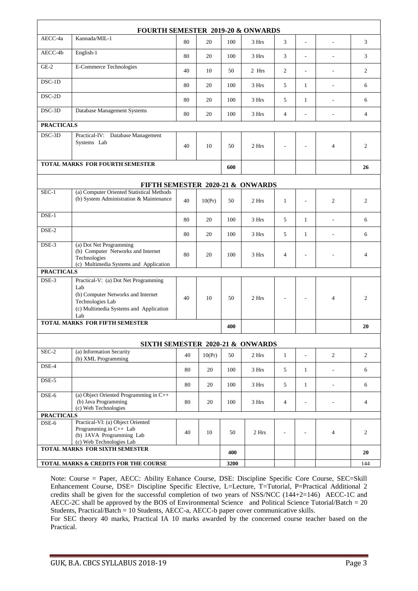| FOURTH SEMESTER 2019-20 & ONWARDS    |                                                                                                                                                        |    |        |      |       |                |                          |                          |                |
|--------------------------------------|--------------------------------------------------------------------------------------------------------------------------------------------------------|----|--------|------|-------|----------------|--------------------------|--------------------------|----------------|
| AECC-4a                              | Kannada/MIL-1                                                                                                                                          | 80 | 20     | 100  | 3 Hrs | 3              | ÷,                       | L,                       | 3              |
| AECC-4b                              | English-1                                                                                                                                              | 80 | 20     | 100  | 3 Hrs | 3              | $\overline{\phantom{a}}$ | $\overline{a}$           | 3              |
| $GE-2$                               | E-Commerce Technologies                                                                                                                                | 40 | 10     | 50   | 2 Hrs | 2              | $\overline{\phantom{a}}$ | $\overline{a}$           | $\overline{c}$ |
| $DSC-1D$                             |                                                                                                                                                        | 80 | 20     | 100  | 3 Hrs | 5              | $\mathbf{1}$             | $\sim$                   | 6              |
| DSC-2D                               |                                                                                                                                                        | 80 | 20     | 100  | 3 Hrs | 5              | $\mathbf{1}$             | L,                       | 6              |
| DSC-3D                               | Database Management Systems                                                                                                                            | 80 | 20     | 100  | 3 Hrs | 4              | ÷,                       | $\overline{\phantom{a}}$ | $\overline{4}$ |
| <b>PRACTICALS</b>                    |                                                                                                                                                        |    |        |      |       |                |                          |                          |                |
| DSC-3D                               | Practical-IV: Database Management<br>Systems Lab                                                                                                       | 40 | 10     | 50   | 2 Hrs |                |                          | 4                        | $\overline{c}$ |
|                                      | <b>TOTAL MARKS FOR FOURTH SEMESTER</b>                                                                                                                 |    |        | 600  |       |                |                          |                          | 26             |
|                                      | FIFTH SEMESTER 2020-21 & ONWARDS                                                                                                                       |    |        |      |       |                |                          |                          |                |
| $SEC-1$                              | (a) Computer Oriented Statistical Methods<br>(b) System Administration & Maintenance                                                                   | 40 | 10(Pr) | 50   | 2 Hrs | $\mathbf{1}$   | $\overline{\phantom{a}}$ | $\overline{c}$           | $\overline{c}$ |
| $DSE-1$                              |                                                                                                                                                        | 80 | 20     | 100  | 3 Hrs | 5              | $\mathbf{1}$             | $\overline{\phantom{a}}$ | 6              |
| $DSE-2$                              |                                                                                                                                                        | 80 | 20     | 100  | 3 Hrs | 5              | $\mathbf{1}$             |                          | 6              |
| DSE-3                                | (a) Dot Net Programming<br>(b) Computer Networks and Internet<br>Technologies<br>(c) Multimedia Systems and Application                                | 80 | 20     | 100  | 3 Hrs | 4              | $\overline{a}$           |                          | 4              |
| <b>PRACTICALS</b>                    |                                                                                                                                                        |    |        |      |       |                |                          |                          |                |
| DSE-3                                | Practical-V: (a) Dot Net Programming<br>Lab<br>(b) Computer Networks and Internet<br>Technologies Lab<br>(c) Multimedia Systems and Application<br>Lab | 40 | 10     | 50   | 2 Hrs |                | $\overline{\phantom{a}}$ | 4                        | $\overline{c}$ |
|                                      | <b>TOTAL MARKS FOR FIFTH SEMESTER</b>                                                                                                                  |    |        | 400  |       |                |                          |                          | 20             |
|                                      | SIXTH SEMESTER 2020-21 & ONWARDS                                                                                                                       |    |        |      |       |                |                          |                          |                |
| SEC-2                                | (a) Information Security<br>(b) XML Programming                                                                                                        | 40 | 10(Pr) | 50   | 2 Hrs | $\mathbf{1}$   | $\blacksquare$           | $\overline{2}$           | $\overline{c}$ |
| $DSE-4$                              |                                                                                                                                                        | 80 | 20     | 100  | 3 Hrs | 5              | $\mathbf{1}$             | $\frac{1}{2}$            | 6              |
| DSE-5                                |                                                                                                                                                        | 80 | 20     | 100  | 3 Hrs | 5              | $\mathbf{1}$             | $\overline{\phantom{a}}$ | 6              |
| $DSE-6$                              | (a) Object Oriented Programming in $C++$<br>(b) Java Programming<br>(c) Web Technologies                                                               | 80 | 20     | 100  | 3 Hrs | $\overline{4}$ | $\overline{\phantom{a}}$ | $\overline{a}$           | $\overline{4}$ |
| <b>PRACTICALS</b>                    |                                                                                                                                                        |    |        |      |       |                |                          |                          |                |
| DSE-6                                | Practical-VI: (a) Object Oriented<br>Programming in C++ Lab<br>(b) JAVA Programming Lab<br>(c) Web Technologies Lab                                    | 40 | 10     | 50   | 2 Hrs |                |                          | $\overline{4}$           | $\overline{c}$ |
| TOTAL MARKS FOR SIXTH SEMESTER       |                                                                                                                                                        |    | 400    |      |       |                |                          | 20                       |                |
| TOTAL MARKS & CREDITS FOR THE COURSE |                                                                                                                                                        |    |        | 3200 |       |                |                          |                          | 144            |

Note: Course = Paper, AECC: Ability Enhance Course, DSE: Discipline Specific Core Course, SEC=Skill Enhancement Course, DSE= Discipline Specific Elective, L=Lecture, T=Tutorial, P=Practical Additional 2 credits shall be given for the successful completion of two years of NSS/NCC (144+2=146) AECC-1C and AECC-2C shall be approved by the BOS of Environmental Science and Political Science Tutorial/Batch = 20 Students, Practical/Batch = 10 Students, AECC-a, AECC-b paper cover communicative skills.

For SEC theory 40 marks, Practical IA 10 marks awarded by the concerned course teacher based on the Practical.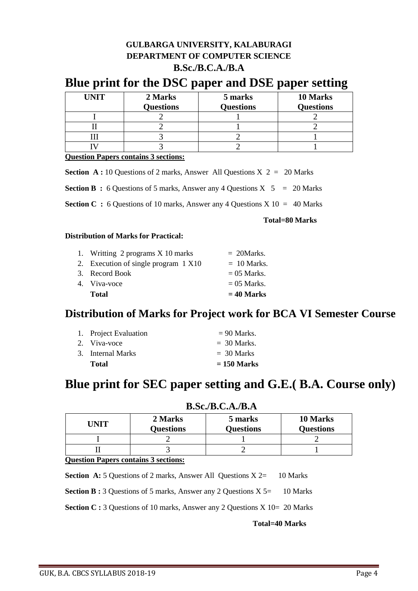### **GULBARGA UNIVERSITY, KALABURAGI DEPARTMENT OF COMPUTER SCIENCE B.Sc./B.C.A./B.A**

## **Blue print for the DSC paper and DSE paper setting**

| <b>UNIT</b> | 2 Marks          | 5 marks          | 10 Marks         |
|-------------|------------------|------------------|------------------|
|             | <b>Questions</b> | <b>Questions</b> | <b>Questions</b> |
|             |                  |                  |                  |
|             |                  |                  |                  |
|             |                  |                  |                  |
|             |                  |                  |                  |

**Question Papers contains 3 sections:**

**Section A :** 10 Questions of 2 marks, Answer All Questions  $X$  2 = 20 Marks

**Section B** : 6 Questions of 5 marks, Answer any 4 Questions  $X$  5 = 20 Marks

**Section C :** 6 Questions of 10 marks, Answer any 4 Questions  $X$  10 = 40 Marks

 **Total=80 Marks**

### **Distribution of Marks for Practical:**

| 1. Writting 2 programs X 10 marks    | $= 20$ Marks. |
|--------------------------------------|---------------|
| 2. Execution of single program 1 X10 | $= 10$ Marks. |
| 3. Record Book                       | $= 05$ Marks. |
| 4. Viva-voce                         | $= 05$ Marks. |
| <b>Total</b>                         | $= 40$ Marks  |

## **Distribution of Marks for Project work for BCA VI Semester Course**

| 1. Project Evaluation | $= 90$ Marks. |
|-----------------------|---------------|
| 2. Viva-voce          | $=$ 30 Marks. |
| 3. Internal Marks     | $=$ 30 Marks  |
| <b>Total</b>          | $= 150$ Marks |

## **Blue print for SEC paper setting and G.E.( B.A. Course only)**

| UNIT | 2 Marks<br><b>Questions</b> | 5 marks<br><b>Questions</b> | 10 Marks<br><b>Questions</b> |
|------|-----------------------------|-----------------------------|------------------------------|
|      |                             |                             |                              |
|      |                             |                             |                              |

### **B.Sc./B.C.A./B.A**

### **Question Papers contains 3 sections:**

**Section A:** 5 Questions of 2 marks, Answer All Questions X 2= 10 Marks

**Section B :** 3 Questions of 5 marks, Answer any 2 Questions X 5= 10 Marks

**Section C :** 3 Questions of 10 marks, Answer any 2 Questions X 10= 20 Marks

 **Total=40 Marks**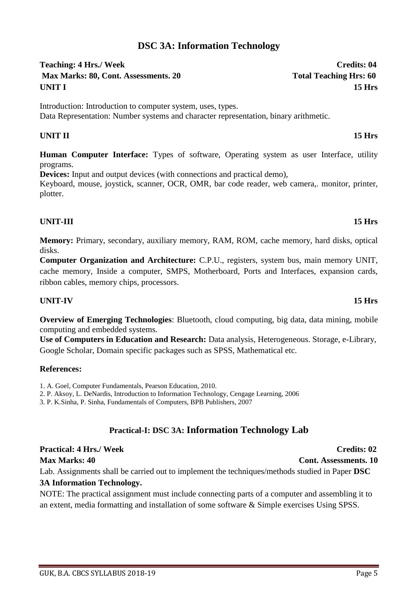## **DSC 3A: Information Technology**

Teaching: 4 Hrs./ Week Credits: 04 **Max Marks: 80, Cont. Assessments. 20** Total Teaching Hrs: 60 **UNIT I 15 Hrs**

Introduction: Introduction to computer system, uses, types. Data Representation: Number systems and character representation, binary arithmetic.

## **UNIT II 15 Hrs**

**Human Computer Interface:** Types of software, Operating system as user Interface, utility programs.

**Devices:** Input and output devices (with connections and practical demo),

Keyboard, mouse, joystick, scanner, OCR, OMR, bar code reader, web camera,. monitor, printer, plotter. *<u>b*</u>

### **UNIT-III 15 Hrs**

**Memory:** Primary, secondary, auxiliary memory, RAM, ROM, cache memory, hard disks, optical disks.

**Computer Organization and Architecture:** C.P.U., registers, system bus, main memory UNIT, cache memory, Inside a computer, SMPS, Motherboard, Ports and Interfaces, expansion cards, ribbon cables, memory chips, processors.

### **UNIT-IV 15 Hrs**

**Overview of Emerging Technologies**: Bluetooth, cloud computing, big data, data mining, mobile computing and embedded systems.

**Use of Computers in Education and Research:** Data analysis, Heterogeneous. Storage, e-Library, Google Scholar, Domain specific packages such as SPSS, Mathematical etc.

### **References:**

- 1. A. Goel, Computer Fundamentals, Pearson Education, 2010.
- 2. P. Aksoy, L. DeNardis, Introduction to Information Technology, Cengage Learning, 2006

3. P. K.Sinha, P. Sinha, Fundamentals of Computers, BPB Publishers, 2007

## **Practical-I: DSC 3A: Information Technology Lab**

## **Practical: 4 Hrs./ Week Credits: 02**

**Max Marks: 40 Cont. Assessments. 10** 

Lab. Assignments shall be carried out to implement the techniques/methods studied in Paper **DSC** 

## **3A Information Technology.**

NOTE: The practical assignment must include connecting parts of a computer and assembling it to an extent, media formatting and installation of some software & Simple exercises Using SPSS.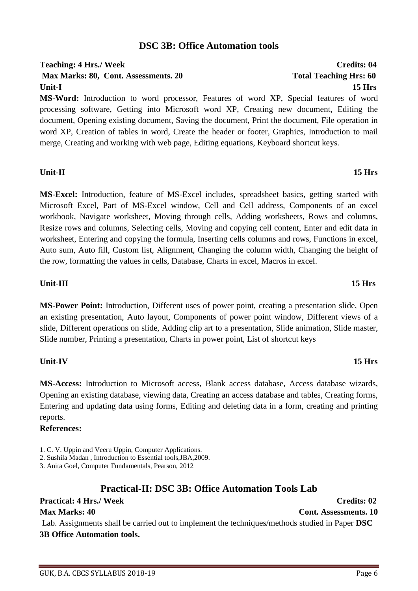### **DSC 3B: Office Automation tools**

## Teaching: 4 Hrs./ Week Credits: 04 **Max Marks: 80, Cont. Assessments. 20 Total Teaching Hrs: 60 Unit-I 15 Hrs**

**MS-Word:** Introduction to word processor, Features of word XP, Special features of word processing software, Getting into Microsoft word XP, Creating new document, Editing the document, Opening existing document, Saving the document, Print the document, File operation in word XP, Creation of tables in word, Create the header or footer, Graphics, Introduction to mail merge, Creating and working with web page, Editing equations, Keyboard shortcut keys.

### **Unit-II 15 Hrs**

**MS-Excel:** Introduction, feature of MS-Excel includes, spreadsheet basics, getting started with Microsoft Excel, Part of MS-Excel window, Cell and Cell address, Components of an excel workbook, Navigate worksheet, Moving through cells, Adding worksheets, Rows and columns, Resize rows and columns, Selecting cells, Moving and copying cell content, Enter and edit data in worksheet, Entering and copying the formula, Inserting cells columns and rows, Functions in excel, Auto sum, Auto fill, Custom list, Alignment, Changing the column width, Changing the height of the row, formatting the values in cells, Database, Charts in excel, Macros in excel.

### **Unit-III 15 Hrs**

**MS-Power Point:** Introduction, Different uses of power point, creating a presentation slide, Open an existing presentation, Auto layout, Components of power point window, Different views of a slide, Different operations on slide, Adding clip art to a presentation, Slide animation, Slide master, Slide number, Printing a presentation, Charts in power point, List of shortcut keys

### **Unit-IV 15 Hrs**

**MS-Access:** Introduction to Microsoft access, Blank access database, Access database wizards, Opening an existing database, viewing data, Creating an access database and tables, Creating forms, Entering and updating data using forms, Editing and deleting data in a form, creating and printing reports.

### **References:**

3. Anita Goel, Computer Fundamentals, Pearson, 2012

### **Practical-II: DSC 3B: Office Automation Tools Lab**

## **Practical: 4 Hrs./ Week Credits: 02**

## **Max Marks: 40 Cont. Assessments. 10**

Lab. Assignments shall be carried out to implement the techniques/methods studied in Paper **DSC 3B Office Automation tools.**

<sup>1.</sup> C. V. Uppin and Veeru Uppin, Computer Applications.

<sup>2.</sup> Sushila Madan , Introduction to Essential tools,JBA,2009.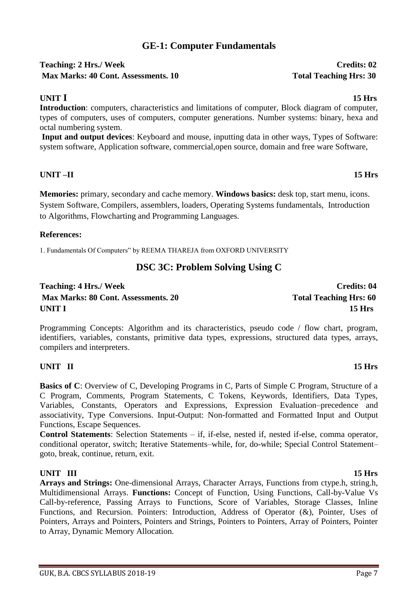## **GE-1: Computer Fundamentals**

### Teaching: 2 Hrs./ Week Credits: 02 **Max Marks: 40 Cont. Assessments. 10 Total Teaching Hrs: 30**

### **UNIT I 15 Hrs**

**Introduction**: computers, characteristics and limitations of computer, Block diagram of computer, types of computers, uses of computers, computer generations. Number systems: binary, hexa and octal numbering system.

**Input and output devices**: Keyboard and mouse, inputting data in other ways, Types of Software: system software, Application software, commercial,open source, domain and free ware Software,

### **UNIT –II 15 Hrs**

**Memories:** primary, secondary and cache memory. **Windows basics:** desk top, start menu, icons. System Software, Compilers, assemblers, loaders, Operating Systems fundamentals, Introduction to Algorithms, Flowcharting and Programming Languages.

### **References:**

1. Fundamentals Of Computers" by REEMA THAREJA from OXFORD UNIVERSITY

## **DSC 3C: Problem Solving Using C**

**Teaching: 4 Hrs./ Week Credits: 04 Max Marks: 80 Cont. Assessments. 20 Total Teaching Hrs: 60 UNIT I 15 Hrs**

Programming Concepts: Algorithm and its characteristics, pseudo code / flow chart, program, identifiers, variables, constants, primitive data types, expressions, structured data types, arrays, compilers and interpreters.

### **UNIT II 15 Hrs**

**Basics of C**: Overview of C, Developing Programs in C, Parts of Simple C Program, Structure of a C Program, Comments, Program Statements, C Tokens, Keywords, Identifiers, Data Types, Variables, Constants, Operators and Expressions, Expression Evaluation–precedence and associativity, Type Conversions. Input-Output: Non-formatted and Formatted Input and Output Functions, Escape Sequences.

**Control Statements**: Selection Statements – if, if-else, nested if, nested if-else, comma operator, conditional operator, switch; Iterative Statements–while, for, do-while; Special Control Statement– goto, break, continue, return, exit.

**UNIT III 15 Hrs Arrays and Strings:** One-dimensional Arrays, Character Arrays, Functions from ctype.h, string.h, Multidimensional Arrays. **Functions:** Concept of Function, Using Functions, Call-by-Value Vs Call-by-reference, Passing Arrays to Functions, Score of Variables, Storage Classes, Inline Functions, and Recursion. Pointers: Introduction, Address of Operator (&), Pointer, Uses of Pointers, Arrays and Pointers, Pointers and Strings, Pointers to Pointers, Array of Pointers, Pointer to Array, Dynamic Memory Allocation.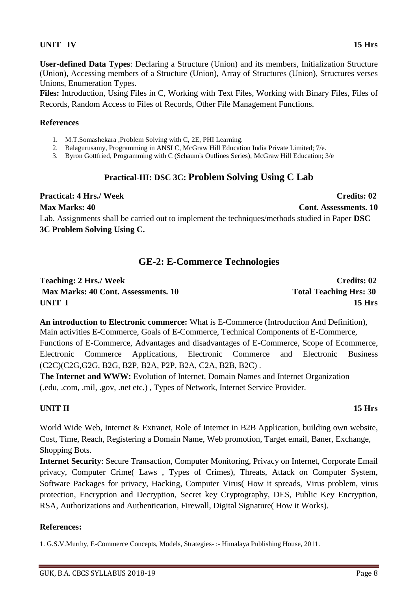### **UNIT IV 15 Hrs**

**User-defined Data Types**: Declaring a Structure (Union) and its members, Initialization Structure (Union), Accessing members of a Structure (Union), Array of Structures (Union), Structures verses Unions, Enumeration Types.

**Files:** Introduction, Using Files in C, Working with Text Files, Working with Binary Files, Files of Records, Random Access to Files of Records, Other File Management Functions.

### **References**

- 1. M.T.Somashekara ,Problem Solving with C, 2E, PHI Learning.
- 2. Balagurusamy, Programming in ANSI C, McGraw Hill Education India Private Limited; 7/e.
- 3. Byron Gottfried, Programming with C (Schaum's Outlines Series), McGraw Hill Education; 3/e

### **Practical-III: DSC 3C: Problem Solving Using C Lab**

**Practical: 4 Hrs./ Week Credits: 02 Max Marks: 40 Cont. Assessments. 10** Lab. Assignments shall be carried out to implement the techniques/methods studied in Paper **DSC 3C Problem Solving Using C.**

### **GE-2: E-Commerce Technologies**

| <b>Teaching: 2 Hrs./ Week</b>              | <b>Credits: 02</b>            |
|--------------------------------------------|-------------------------------|
| <b>Max Marks: 40 Cont. Assessments. 10</b> | <b>Total Teaching Hrs: 30</b> |
| UNIT I                                     | 15 Hrs                        |

**An introduction to Electronic commerce:** What is E-Commerce (Introduction And Definition), Main activities E-Commerce, Goals of E-Commerce, Technical Components of E-Commerce, Functions of E-Commerce, Advantages and disadvantages of E-Commerce, Scope of Ecommerce, Electronic Commerce Applications, Electronic Commerce and Electronic Business (C2C)(C2G,G2G, B2G, B2P, B2A, P2P, B2A, C2A, B2B, B2C) .

**The Internet and WWW:** Evolution of Internet, Domain Names and Internet Organization (.edu, .com, .mil, .gov, .net etc.) , Types of Network, Internet Service Provider.

### **UNIT II 15 Hrs**

World Wide Web, Internet & Extranet, Role of Internet in B2B Application, building own website, Cost, Time, Reach, Registering a Domain Name, Web promotion, Target email, Baner, Exchange, Shopping Bots.

**Internet Security**: Secure Transaction, Computer Monitoring, Privacy on Internet, Corporate Email privacy, Computer Crime( Laws , Types of Crimes), Threats, Attack on Computer System, Software Packages for privacy, Hacking, Computer Virus( How it spreads, Virus problem, virus protection, Encryption and Decryption, Secret key Cryptography, DES, Public Key Encryption, RSA, Authorizations and Authentication, Firewall, Digital Signature( How it Works).

### **References:**

1. G.S.V.Murthy, E-Commerce Concepts, Models, Strategies- :- Himalaya Publishing House, 2011.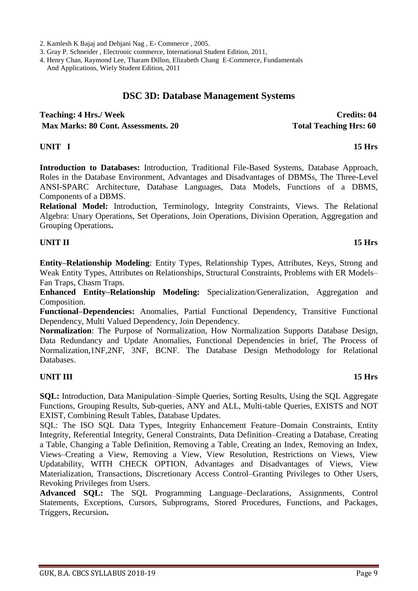2. Kamlesh K Bajaj and Debjani Nag , E- Commerce , 2005.

3. Gray P. Schneider , Electronic commerce, International Student Edition, 2011,

4. Henry Chan, Raymond Lee, Tharam Dillon, Elizabeth Chang E-Commerce, Fundamentals And Applications, Wiely Student Edition, 2011

### **DSC 3D: Database Management Systems**

**Teaching: 4 Hrs./ Week Credits: 04 Max Marks: 80 Cont. Assessments. 20** Total Teaching Hrs: 60

### **UNIT I 15 Hrs**

**Introduction to Databases:** Introduction, Traditional File-Based Systems, Database Approach, Roles in the Database Environment, Advantages and Disadvantages of DBMSs, The Three-Level ANSI-SPARC Architecture, Database Languages, Data Models, Functions of a DBMS, Components of a DBMS.

**Relational Model:** Introduction, Terminology, Integrity Constraints, Views. The Relational Algebra: Unary Operations, Set Operations, Join Operations, Division Operation, Aggregation and Grouping Operations**.** 

### **UNIT II 15 Hrs**

**Entity–Relationship Modeling**: Entity Types, Relationship Types, Attributes, Keys, Strong and Weak Entity Types, Attributes on Relationships, Structural Constraints, Problems with ER Models– Fan Traps, Chasm Traps.

**Enhanced Entity–Relationship Modeling:** Specialization/Generalization, Aggregation and Composition.

**Functional–Dependencies:** Anomalies, Partial Functional Dependency, Transitive Functional Dependency, Multi Valued Dependency, Join Dependency.

**Normalization**: The Purpose of Normalization, How Normalization Supports Database Design, Data Redundancy and Update Anomalies, Functional Dependencies in brief, The Process of Normalization,1NF,2NF, 3NF, BCNF. The Database Design Methodology for Relational Databases.

### **UNIT III 15 Hrs**

**SQL:** Introduction, Data Manipulation–Simple Queries, Sorting Results, Using the SQL Aggregate Functions, Grouping Results, Sub-queries, ANY and ALL, Multi-table Queries, EXISTS and NOT EXIST, Combining Result Tables, Database Updates.

SQL: The ISO SQL Data Types, Integrity Enhancement Feature–Domain Constraints, Entity Integrity, Referential Integrity, General Constraints, Data Definition–Creating a Database, Creating a Table, Changing a Table Definition, Removing a Table, Creating an Index, Removing an Index, Views–Creating a View, Removing a View, View Resolution, Restrictions on Views, View Updatability, WITH CHECK OPTION, Advantages and Disadvantages of Views, View Materialization, Transactions, Discretionary Access Control–Granting Privileges to Other Users, Revoking Privileges from Users.

**Advanced SQL:** The SQL Programming Language–Declarations, Assignments, Control Statements, Exceptions, Cursors, Subprograms, Stored Procedures, Functions, and Packages, Triggers, Recursion**.**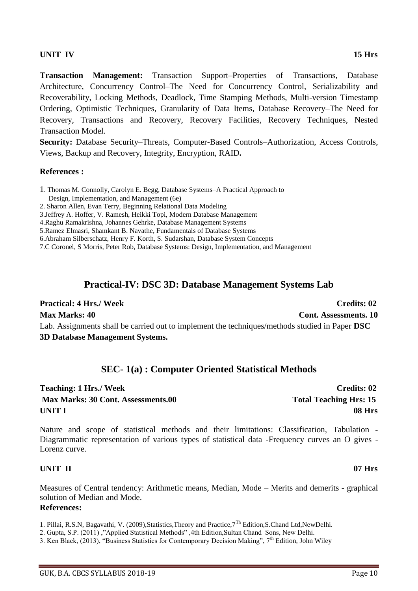### **UNIT IV 15 Hrs**

**Transaction Management:** Transaction Support–Properties of Transactions, Database Architecture, Concurrency Control–The Need for Concurrency Control, Serializability and Recoverability, Locking Methods, Deadlock, Time Stamping Methods, Multi-version Timestamp Ordering, Optimistic Techniques, Granularity of Data Items, Database Recovery–The Need for Recovery, Transactions and Recovery, Recovery Facilities, Recovery Techniques, Nested Transaction Model.

**Security:** Database Security–Threats, Computer-Based Controls–Authorization, Access Controls, Views, Backup and Recovery, Integrity, Encryption, RAID**.** 

### **References :**

- 1. Thomas M. Connolly, Carolyn E. Begg, Database Systems–A Practical Approach to
- Design, Implementation, and Management (6e)
- 2. Sharon Allen, Evan Terry, Beginning Relational Data Modeling
- 3.Jeffrey A. Hoffer, V. Ramesh, Heikki Topi, Modern Database Management
- 4.Raghu Ramakrishna, Johannes Gehrke, Database Management Systems
- 5.Ramez Elmasri, Shamkant B. Navathe, Fundamentals of Database Systems
- 6.Abraham Silberschatz, Henry F. Korth, S. Sudarshan, Database System Concepts

7.C Coronel, S Morris, Peter Rob, Database Systems: Design, Implementation, and Management

### **Practical-IV: DSC 3D: Database Management Systems Lab**

### **Practical: 4 Hrs./ Week Credits: 02**

**Max Marks: 40 Cont. Assessments. 10** Lab. Assignments shall be carried out to implement the techniques/methods studied in Paper **DSC 3D Database Management Systems.**

### **SEC- 1(a) : Computer Oriented Statistical Methods**

## **Teaching: 1 Hrs./ Week Credits: 02 Max Marks: 30 Cont. Assessments.00 Total Teaching Hrs: 15 UNIT I 08 Hrs**

Nature and scope of statistical methods and their limitations: Classification, Tabulation - Diagrammatic representation of various types of statistical data -Frequency curves an O gives - Lorenz curve.

### **UNIT II 07 Hrs**

Measures of Central tendency: Arithmetic means, Median, Mode – Merits and demerits - graphical solution of Median and Mode. **References:**

1. Pillai, R.S.N, Bagavathi, V. (2009),Statistics,Theory and Practice,7Th Edition,S.Chand Ltd,NewDelhi.

- 2. Gupta, S.P. (2011) ,"Applied Statistical Methods" ,4th Edition,Sultan Chand Sons, New Delhi.
- 3. Ken Black, (2013), "Business Statistics for Contemporary Decision Making", 7<sup>th</sup> Edition, John Wiley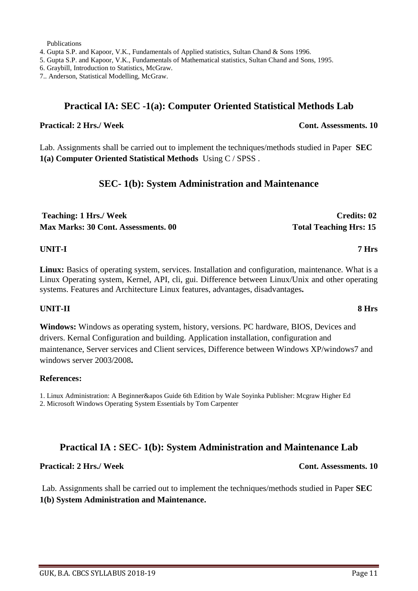Publications

4. Gupta S.P. and Kapoor, V.K., Fundamentals of Applied statistics, Sultan Chand & Sons 1996.

5. Gupta S.P. and Kapoor, V.K., Fundamentals of Mathematical statistics, Sultan Chand and Sons, 1995.

6. Graybill, Introduction to Statistics, McGraw.

7.. Anderson, Statistical Modelling, McGraw.

### **Practical IA: SEC -1(a): Computer Oriented Statistical Methods Lab**

### **Practical: 2** Hrs./ Week Cont. Assessments. 10

Lab. Assignments shall be carried out to implement the techniques/methods studied in Paper **SEC 1(a) Computer Oriented Statistical Methods** Using C / SPSS .

### **SEC- 1(b): System Administration and Maintenance**

| <b>Teaching: 1 Hrs./ Week</b>              | <b>Credits: 02</b>            |
|--------------------------------------------|-------------------------------|
| <b>Max Marks: 30 Cont. Assessments. 00</b> | <b>Total Teaching Hrs: 15</b> |

### **UNIT-I 7 Hrs**

**Linux:** Basics of operating system, services. Installation and configuration, maintenance. What is a Linux Operating system, Kernel, API, cli, gui. Difference between Linux/Unix and other operating systems. Features and Architecture Linux features, advantages, disadvantages**.**

### **UNIT-II 8 Hrs**

**Windows:** Windows as operating system, history, versions. PC hardware, BIOS, Devices and drivers. Kernal Configuration and building. Application installation, configuration and maintenance, Server services and Client services, Difference between Windows XP/windows7 and windows server 2003/2008**.**

### **References:**

1. Linux Administration: A Beginner&apos Guide 6th Edition by Wale Soyinka Publisher: Mcgraw Higher Ed

2. Microsoft Windows Operating System Essentials by Tom Carpenter

### **Practical IA : SEC- 1(b): System Administration and Maintenance Lab**

### **Practical: 2** Hrs./ Week Cont. Assessments. 10

Lab. Assignments shall be carried out to implement the techniques/methods studied in Paper **SEC 1(b) System Administration and Maintenance.**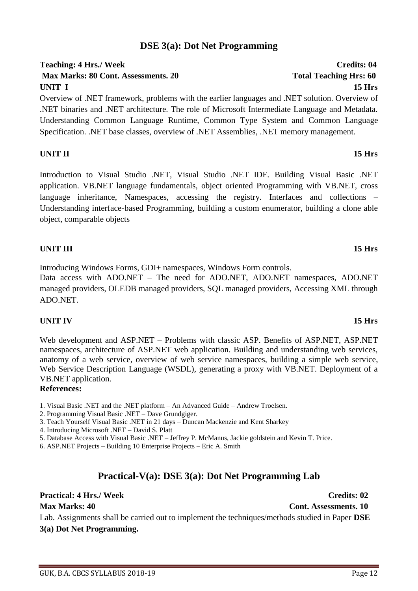## GUK, B.A. CBCS SYLLABUS 2018-19 Page 12

## **DSE 3(a): Dot Net Programming**

## **Teaching: 4 Hrs./ Week Credits: 04 Max Marks: 80 Cont. Assessments. 20 Total Teaching Hrs: 60 UNIT I 15 Hrs**

Overview of .NET framework, problems with the earlier languages and .NET solution. Overview of .NET binaries and .NET architecture. The role of Microsoft Intermediate Language and Metadata. Understanding Common Language Runtime, Common Type System and Common Language Specification. .NET base classes, overview of .NET Assemblies, .NET memory management.

### **UNIT II 15 Hrs**

Introduction to Visual Studio .NET, Visual Studio .NET IDE. Building Visual Basic .NET application. VB.NET language fundamentals, object oriented Programming with VB.NET, cross language inheritance, Namespaces, accessing the registry. Interfaces and collections – Understanding interface-based Programming, building a custom enumerator, building a clone able object, comparable objects

### **UNIT III 15 Hrs**

Introducing Windows Forms, GDI+ namespaces, Windows Form controls.

Data access with ADO.NET – The need for ADO.NET, ADO.NET namespaces, ADO.NET managed providers, OLEDB managed providers, SQL managed providers, Accessing XML through ADO.NET.

### **UNIT IV 15 Hrs**

Web development and ASP.NET – Problems with classic ASP. Benefits of ASP.NET, ASP.NET namespaces, architecture of ASP.NET web application. Building and understanding web services, anatomy of a web service, overview of web service namespaces, building a simple web service, Web Service Description Language (WSDL), generating a proxy with VB.NET. Deployment of a VB.NET application.

### **References:**

- 1. Visual Basic .NET and the .NET platform An Advanced Guide Andrew Troelsen.
- 2. Programming Visual Basic .NET Dave Grundgiger.
- 3. Teach Yourself Visual Basic .NET in 21 days Duncan Mackenzie and Kent Sharkey
- 4. Introducing Microsoft .NET David S. Platt
- 5. Database Access with Visual Basic .NET Jeffrey P. McManus, Jackie goldstein and Kevin T. Price.
- 6. ASP.NET Projects Building 10 Enterprise Projects Eric A. Smith

## **Practical-V(a): DSE 3(a): Dot Net Programming Lab**

### **Practical: 4 Hrs./ Week Credits: 02**

**Max Marks: 40 Cont. Assessments. 10**

Lab. Assignments shall be carried out to implement the techniques/methods studied in Paper **DSE 3(a) Dot Net Programming.**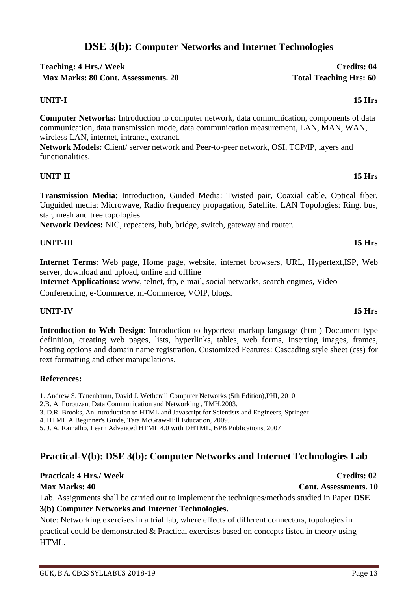## **DSE 3(b): Computer Networks and Internet Technologies**

### **Teaching: 4 Hrs./ Week Credits: 04** Max Marks: 80 Cont. Assessments. 20 Total Teaching Hrs: 60

### **UNIT-I 15 Hrs**

**Computer Networks:** Introduction to computer network, data communication, components of data communication, data transmission mode, data communication measurement, LAN, MAN, WAN, wireless LAN, internet, intranet, extranet.

**Network Models:** Client/ server network and Peer-to-peer network, OSI, TCP/IP, layers and functionalities.

### **UNIT-II 15 Hrs**

**Transmission Media**: Introduction, Guided Media: Twisted pair, Coaxial cable, Optical fiber. Unguided media: Microwave, Radio frequency propagation, Satellite. LAN Topologies: Ring, bus, star, mesh and tree topologies.

**Network Devices:** NIC, repeaters, hub, bridge, switch, gateway and router.

### **UNIT-III 15 Hrs**

**Internet Terms**: Web page, Home page, website, internet browsers, URL, Hypertext,ISP, Web server, download and upload, online and offline

**Internet Applications:** www. telnet, ftp. e-mail, social networks, search engines, Video

Conferencing, e-Commerce, m-Commerce, VOIP, blogs.

### **UNIT-IV 15 Hrs**

**Introduction to Web Design**: Introduction to hypertext markup language (html) Document type definition, creating web pages, lists, hyperlinks, tables, web forms, Inserting images, frames, hosting options and domain name registration. Customized Features: Cascading style sheet (css) for text formatting and other manipulations.

### **References:**

1. Andrew S. Tanenbaum, David J. Wetherall Computer Networks (5th Edition),PHI, 2010

2.B. A. Forouzan, Data Communication and Networking , TMH,2003.

3. D.R. Brooks, An Introduction to HTML and Javascript for Scientists and Engineers, Springer

4. HTML A Beginner's Guide, Tata McGraw-Hill Education, 2009.

5. J. A. Ramalho, Learn Advanced HTML 4.0 with DHTML, BPB Publications, 2007

### **Practical-V(b): DSE 3(b): Computer Networks and Internet Technologies Lab**

# **Practical: 4 Hrs./ Week Credits: 02**

Lab. Assignments shall be carried out to implement the techniques/methods studied in Paper **DSE** 

### **3(b) Computer Networks and Internet Technologies.**

Note: Networking exercises in a trial lab, where effects of different connectors, topologies in practical could be demonstrated & Practical exercises based on concepts listed in theory using HTML.

### **Max Marks: 40 Cont. Assessments. 10**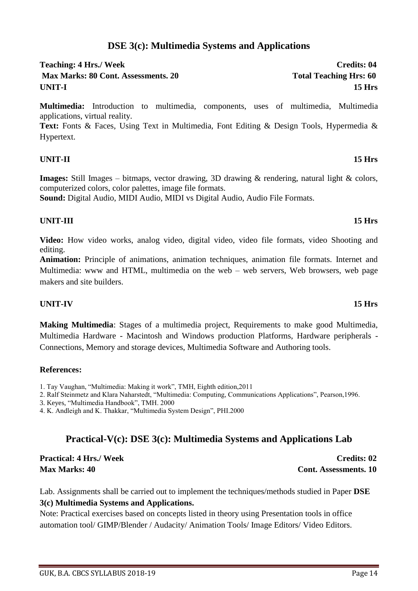## **DSE 3(c): Multimedia Systems and Applications**

### Teaching: 4 Hrs./ Week Credits: 04 **Max Marks: 80 Cont. Assessments. 20 Total Teaching Hrs: 60 UNIT-I 15 Hrs**

**Multimedia:** Introduction to multimedia, components, uses of multimedia, Multimedia applications, virtual reality.

**Text:** Fonts & Faces, Using Text in Multimedia, Font Editing & Design Tools, Hypermedia & Hypertext.

### **UNIT-II 15 Hrs**

**Images:** Still Images – bitmaps, vector drawing, 3D drawing & rendering, natural light & colors, computerized colors, color palettes, image file formats.

**Sound:** Digital Audio, MIDI Audio, MIDI vs Digital Audio, Audio File Formats.

### **UNIT-III 15 Hrs**

**Video:** How video works, analog video, digital video, video file formats, video Shooting and editing.

**Animation:** Principle of animations, animation techniques, animation file formats. Internet and Multimedia: www and HTML, multimedia on the web – web servers, Web browsers, web page makers and site builders.

### **UNIT-IV 15 Hrs**

**Making Multimedia**: Stages of a multimedia project, Requirements to make good Multimedia, Multimedia Hardware - Macintosh and Windows production Platforms, Hardware peripherals - Connections, Memory and storage devices, Multimedia Software and Authoring tools.

### **References:**

1. Tay Vaughan, "Multimedia: Making it work", TMH, Eighth edition,2011

2. Ralf Steinmetz and Klara Naharstedt, "Multimedia: Computing, Communications Applications", Pearson,1996.

3. Keyes, "Multimedia Handbook", TMH. 2000

4. K. Andleigh and K. Thakkar, "Multimedia System Design", PHI.2000

## **Practical-V(c): DSE 3(c): Multimedia Systems and Applications Lab**

**Practical: 4 Hrs./ Week Credits: 02 Max Marks: 40 Cont. Assessments. 10** 

Lab. Assignments shall be carried out to implement the techniques/methods studied in Paper **DSE 3(c) Multimedia Systems and Applications.**

Note: Practical exercises based on concepts listed in theory using Presentation tools in office automation tool/ GIMP/Blender / Audacity/ Animation Tools/ Image Editors/ Video Editors.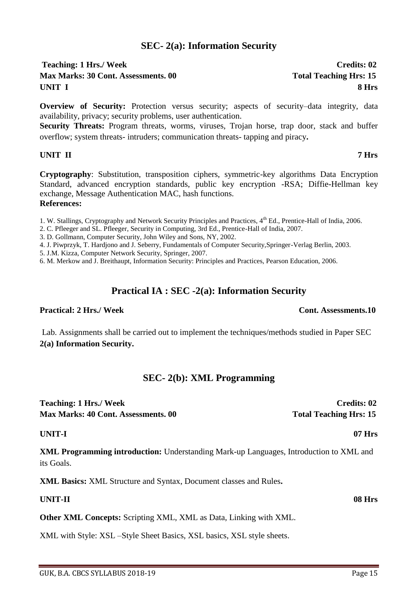### **SEC- 2(a): Information Security**

### Teaching: 1 Hrs./ Week Credits: 02 **Max Marks: 30 Cont. Assessments. 00 Total Teaching Hrs: 15 UNIT I 8 Hrs**

**Overview of Security:** Protection versus security: aspects of security–data integrity, data availability, privacy; security problems, user authentication.

**Security Threats:** Program threats, worms, viruses, Trojan horse, trap door, stack and buffer overflow; system threats- intruders; communication threats- tapping and piracy**.** 

### **UNIT II 7 Hrs**

**Cryptography**: Substitution, transposition ciphers, symmetric-key algorithms Data Encryption Standard, advanced encryption standards, public key encryption -RSA; Diffie-Hellman key exchange, Message Authentication MAC, hash functions.

### **References:**

1. W. Stallings, Cryptography and Network Security Principles and Practices,  $4<sup>th</sup>$  Ed., Prentice-Hall of India, 2006.

2. C. Pfleeger and SL. Pfleeger, Security in Computing, 3rd Ed., Prentice-Hall of India, 2007.

3. D. Gollmann, Computer Security, John Wiley and Sons, NY, 2002.

4. J. Piwprzyk, T. Hardjono and J. Seberry, Fundamentals of Computer Security,Springer-Verlag Berlin, 2003.

5. J.M. Kizza, Computer Network Security, Springer, 2007.

6. M. Merkow and J. Breithaupt, Information Security: Principles and Practices, Pearson Education, 2006.

### **Practical IA : SEC -2(a): Information Security**

### **Practical: 2** Hrs./ Week Cont. Assessments.10

### Lab. Assignments shall be carried out to implement the techniques/methods studied in Paper SEC **2(a) Information Security.**

### **SEC- 2(b): XML Programming**

**Teaching: 1 Hrs./ Week Credits: 02 Max Marks: 40 Cont. Assessments. 00 Total Teaching Hrs: 15** 

### **UNIT-I 07 Hrs**

**XML Programming introduction:** Understanding Mark-up Languages, Introduction to XML and its Goals.

**XML Basics:** XML Structure and Syntax, Document classes and Rules**.** 

### **UNIT-II 08 Hrs**

**Other XML Concepts:** Scripting XML, XML as Data, Linking with XML.

XML with Style: XSL –Style Sheet Basics, XSL basics, XSL style sheets.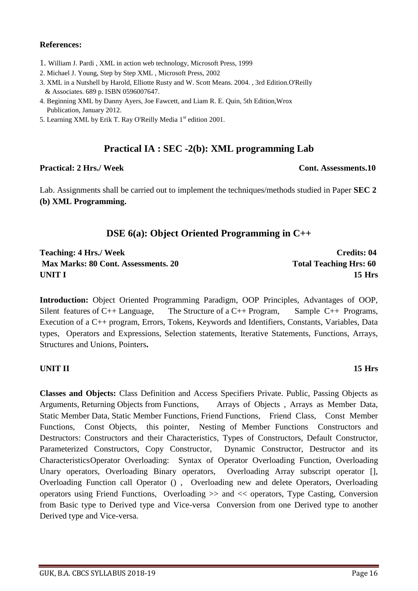### **References:**

- 1. William J. Pardi , XML in action web technology, Microsoft Press, 1999
- 2. Michael J. Young, Step by Step XML , Microsoft Press, 2002
- 3. XML in a Nutshell by Harold, Elliotte Rusty and W. Scott Means. 2004. , 3rd Edition.O'Reilly & Associates. 689 p. ISBN 0596007647.
- 4. Beginning XML by Danny Ayers, Joe Fawcett, and Liam R. E. Quin, 5th Edition,Wrox Publication, January 2012.
- 5. Learning XML by Erik T. Ray O'Reilly Media 1<sup>st</sup> edition 2001.

## **Practical IA : SEC -2(b): XML programming Lab**

### **Practical: 2 Hrs./ Week Cont. Assessments.10**

Lab. Assignments shall be carried out to implement the techniques/methods studied in Paper **SEC 2 (b) XML Programming.**

## **DSE 6(a): Object Oriented Programming in C++**

**Teaching: 4 Hrs./ Week Credits: 04 Max Marks: 80 Cont. Assessments. 20 Total Teaching Hrs: 60 UNIT I 15 Hrs**

**Introduction:** Object Oriented Programming Paradigm, OOP Principles, Advantages of OOP, Silent features of C++ Language, The Structure of a C++ Program, Sample C++ Programs, Execution of a C++ program, Errors, Tokens, Keywords and Identifiers, Constants, Variables, Data types, Operators and Expressions, Selection statements, Iterative Statements, Functions, Arrays, Structures and Unions, Pointers**.** 

### **UNIT II 15 Hrs**

**Classes and Objects:** Class Definition and Access Specifiers Private. Public, Passing Objects as Arguments, Returning Objects from Functions, Arrays of Objects , Arrays as Member Data, Static Member Data, Static Member Functions, Friend Functions, Friend Class, Const Member Functions, Const Objects, this pointer, Nesting of Member Functions Constructors and Destructors: Constructors and their Characteristics, Types of Constructors, Default Constructor, Parameterized Constructors, Copy Constructor, Dynamic Constructor, Destructor and its CharacteristicsOperator Overloading: Syntax of Operator Overloading Function, Overloading Unary operators, Overloading Binary operators, Overloading Array subscript operator [], Overloading Function call Operator () , Overloading new and delete Operators, Overloading operators using Friend Functions, Overloading >> and << operators, Type Casting, Conversion from Basic type to Derived type and Vice-versa Conversion from one Derived type to another Derived type and Vice-versa.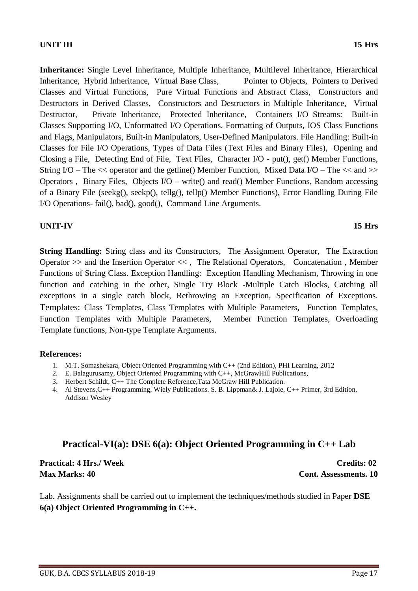### **UNIT III 15 Hrs**

**Inheritance:** Single Level Inheritance, Multiple Inheritance, Multilevel Inheritance, Hierarchical Inheritance, Hybrid Inheritance, Virtual Base Class, Pointer to Objects, Pointers to Derived Classes and Virtual Functions, Pure Virtual Functions and Abstract Class, Constructors and Destructors in Derived Classes, Constructors and Destructors in Multiple Inheritance, Virtual Destructor, Private Inheritance, Protected Inheritance, Containers I/O Streams: Built-in Classes Supporting I/O, Unformatted I/O Operations, Formatting of Outputs, IOS Class Functions and Flags, Manipulators, Built-in Manipulators, User-Defined Manipulators. File Handling: Built-in Classes for File I/O Operations, Types of Data Files (Text Files and Binary Files), Opening and Closing a File, Detecting End of File, Text Files, Character I/O - put(), get() Member Functions, String I/O – The << operator and the getline() Member Function, Mixed Data I/O – The << and >> Operators , Binary Files, Objects I/O – write() and read() Member Functions, Random accessing of a Binary File (seekg(), seekp(), tellg(), tellp() Member Functions), Error Handling During File I/O Operations- fail(), bad(), good(), Command Line Arguments.

### **UNIT-IV 15 Hrs**

**String Handling:** String class and its Constructors. The Assignment Operator. The Extraction Operator >> and the Insertion Operator << , The Relational Operators, Concatenation , Member Functions of String Class. Exception Handling: Exception Handling Mechanism, Throwing in one function and catching in the other, Single Try Block -Multiple Catch Blocks, Catching all exceptions in a single catch block, Rethrowing an Exception, Specification of Exceptions. Templates: Class Templates, Class Templates with Multiple Parameters, Function Templates, Function Templates with Multiple Parameters, Member Function Templates, Overloading Template functions, Non-type Template Arguments.

### **References:**

- 1. M.T. Somashekara, Object Oriented Programming with C++ (2nd Edition), PHI Learning, 2012
- 2. E. Balagurusamy, Object Oriented Programming with C++, McGrawHill Publications,
- 3. Herbert Schildt, C++ The Complete Reference,Tata McGraw Hill Publication.
- 4. Al Stevens,C++ Programming, Wiely Publications. S. B. Lippman& J. Lajoie, C++ Primer, 3rd Edition, Addison Wesley

## **Practical-VI(a): DSE 6(a): Object Oriented Programming in C++ Lab**

**Practical: 4 Hrs./ Week Credits: 02 Max Marks: 40 Cont. Assessments. 10** 

Lab. Assignments shall be carried out to implement the techniques/methods studied in Paper **DSE 6(a) Object Oriented Programming in C++.**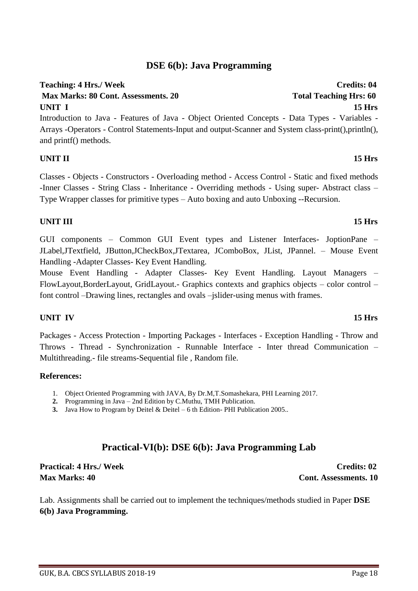# GUK, B.A. CBCS SYLLABUS 2018-19 Page 18

## **DSE 6(b): Java Programming**

## **Teaching: 4 Hrs./ Week Credits: 04**

**Max Marks: 80 Cont. Assessments. 20** Total Teaching Hrs: 60 **UNIT I 15 Hrs**

Introduction to Java - Features of Java - Object Oriented Concepts - Data Types - Variables - Arrays -Operators - Control Statements-Input and output-Scanner and System class-print(),println(), and printf() methods.

### **UNIT II 15 Hrs**

Classes - Objects - Constructors - Overloading method - Access Control - Static and fixed methods -Inner Classes - String Class - Inheritance - Overriding methods - Using super- Abstract class – Type Wrapper classes for primitive types – Auto boxing and auto Unboxing --Recursion.

### **UNIT III 15 Hrs**

GUI components – Common GUI Event types and Listener Interfaces- JoptionPane – JLabel,JTextfield, JButton,JCheckBox,JTextarea, JComboBox, JList, JPannel. – Mouse Event Handling -Adapter Classes- Key Event Handling.

Mouse Event Handling - Adapter Classes- Key Event Handling. Layout Managers – FlowLayout,BorderLayout, GridLayout.- Graphics contexts and graphics objects – color control – font control –Drawing lines, rectangles and ovals –jslider-using menus with frames.

### **UNIT IV 15 Hrs**

Packages - Access Protection - Importing Packages - Interfaces - Exception Handling - Throw and Throws - Thread - Synchronization - Runnable Interface - Inter thread Communication – Multithreading.- file streams-Sequential file , Random file.

### **References:**

- 1. Object Oriented Programming with JAVA, By Dr.M,T.Somashekara, PHI Learning 2017.
- **2.** Programming in Java 2nd Edition by C.Muthu, TMH Publication.
- **3.** Java How to Program by Deitel & Deitel 6 th Edition- PHI Publication 2005..

## **Practical-VI(b): DSE 6(b): Java Programming Lab**

**Practical: 4 Hrs./ Week Credits: 02 Max Marks: 40 Cont. Assessments. 10** 

Lab. Assignments shall be carried out to implement the techniques/methods studied in Paper **DSE 6(b) Java Programming.**